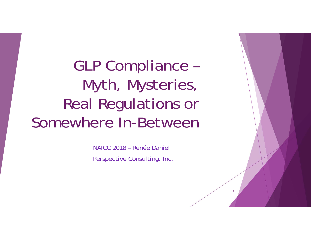GLP Compliance – Myth, Mysteries, Real Regulations or Somewhere In-Between

> NAICC 2018 – Renée DanielPerspective Consulting, Inc.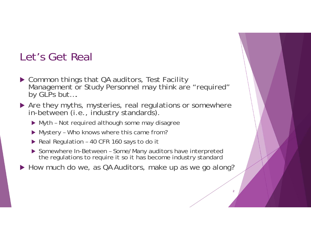### Let's Get Real

- ▶ Common things that QA auditors, Test Facility Management or Study Personnel may think are "required" by GLPs but....
- Are they myths, mysteries, real regulations or somewhere in-between (i.e., industry standards).
	- Myth Not required although some may disagree
	- Mystery Who knows where this came from?
	- ▶ Real Regulation 40 CFR 160 says to do it
	- ▶ Somewhere In-Between Some/Many auditors have interpreted the regulations to require it so it has become industry standard
- ▶ How much do we, as QA Auditors, make up as we go along?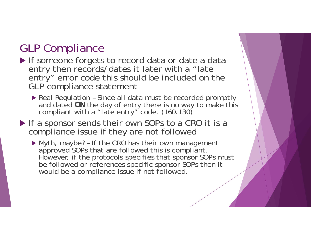## GLP Compliance

 If someone forgets to record data or date a data entry then records/dates it later with a "late entry" error code this should be included on the GLP compliance statement

▶ Real Regulation - Since all data must be recorded promptly and dated **ON** the day of entry there is no way to make this<br>compliant with a "late entry" code. (160.130)

If a sponsor sends their own SOPs to a CRO it is a compliance issue if they are not followed

 Myth, maybe? – If the CRO has their own management approved SOPs that are followed this is compliant. However, if the protocols specifies that sponsor SOPs must be followed or references specific sponsor SOPs then it would be a compliance issue if not followed.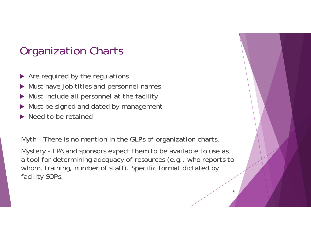### Organization Charts

- ▶ Are required by the regulations
- $\blacktriangleright$ Must have job titles and personnel names
- $\blacktriangleright$ Must include all personnel at the facility
- $\blacktriangleright$ Must be signed and dated by management
- Need to be retained

Myth – There is no mention in the GLPs of organization charts.

Mystery - EPA and sponsors expect them to be available to use as a tool for determining adequacy of resources (e.g., who reports to whom, training, number of staff). Specific format dictated by facility SOPs.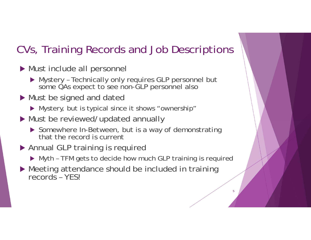# CVs, Training Records and Job Descriptions

- Must include all personnel
	- Mystery Technically only requires GLP personnel but some QAs expect to see non-GLP personnel also
- Must be signed and dated
	- Mystery, but is typical since it shows "ownership"
- Must be reviewed/updated annually
	- ▶ Somewhere In-Between, but is a way of demonstrating that the record is current
- Annual GLP training is required
	- Myth TFM gets to decide how much GLP training is required

5

▶ Meeting attendance should be included in training records – YES!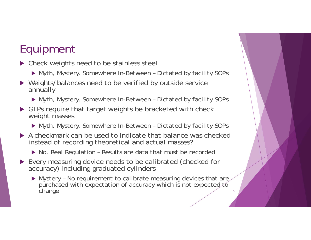# Equipment

- ▶ Check weights need to be stainless steel
	- Myth, Mystery, Somewhere In-Between Dictated by facility SOPs
- ▶ Weights/balances need to be verified by outside service annually
	- Myth, Mystery, Somewhere In-Between Dictated by facility SOPs
- ▶ GLPs require that target weights be bracketed with check weight masses
	- Myth, Mystery, Somewhere In-Between Dictated by facility SOPs
- A checkmark can be used to indicate that balance was checked instead of recording theoretical and actual masses?
	- ▶ No, Real Regulation Results are data that must be recorded
- Every measuring device needs to be calibrated (checked for accuracy) including graduated cylinders
	- $\blacktriangleright$  Mystery No requirement to calibrate measuring devices that are purchased with expectation of accuracy which is not expected to change  $change$  6. The change 6. The change 6. The contract of  $\sim$  6. The contract of  $\sim$  6. The contract of  $\sim$  6. The contract of  $\sim$  6. The contract of  $\sim$  6. The contract of  $\sim$  6. The contract of  $\sim$  6. The contract of  $\$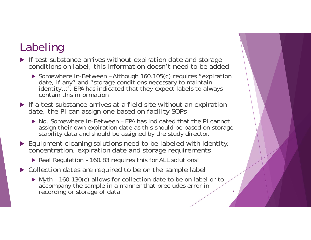# Labeling

- If test substance arrives without expiration date and storage conditions on label, this information doesn't need to be added
	- ▶ Somewhere In-Between Although 160.105(c) requires "expiration date, if any" and "storage conditions necessary to maintain identity...", EPA has indicated that they expect labels to always contain this information
- If a test substance arrives at a field site without an expiration date, the PI can assign one based on facility SOPs
	- ▶ No, Somewhere In-Between EPA has indicated that the PI cannot assign their own expiration date as this should be based on storage stability data and should be assigned by the study director.
- ▶ Equipment cleaning solutions need to be labeled with identity, concentration, expiration date and storage requirements
	- ▶ Real Regulation 160.83 requires this for ALL solutions!
- ▶ Collection dates are required to be on the sample label
	- ▶ Myth 160.130(c) allows for collection date to be on label or to accompany the sample in a manner that precludes error in recording or storage of data <sup>7</sup>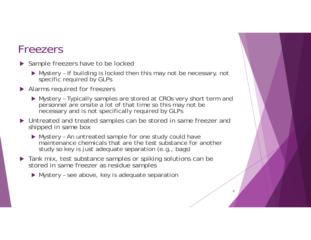### Freezers

- ▶ Sample freezers have to be locked
	- Mystery If building is locked then this may not be necessary, not specific required by GLPs
- ▶ Alarms required for freezers
	- Mystery Typically samples are stored at CROs very short term and personnel are onsite a lot of that time so this may not be necessary and is not specifically required by GLPs
- Untreated and treated samples can be stored in same freezer and shipped in same box
	- Mystery An untreated sample for one study could have maintenance chemicals that are the test substance for another study so key is just adequate separation (e.g., bags)

- **Tank mix, test substance samples or spiking solutions can be** stored in same freezer as residue samples
	- Mystery see above, key is adequate separation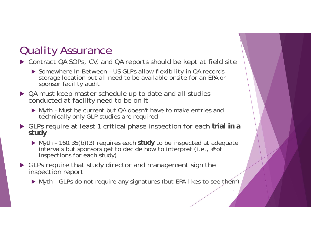## Quality Assurance

#### ▶ Contract QA SOPs, CV, and QA reports should be kept at field site

- ▶ Somewhere In-Between US GLPs allow flexibility in QA records storage location but all need to be available onsite for an EPA or sponsor facility audit
- ▶ QA must keep master schedule up to date and all studies conducted at facility need to be on it
	- Myth Must be current but QA doesn't have to make entries and technically only GLP studies are required
- GLPs require at least 1 critical phase inspection for each **trial in a study**
	- $\triangleright$  Myth 160.35(b)(3) requires each study to be inspected at adequate intervals but sponsors get to decide how to interpret (i.e., # of inspections for each study)
- ▶ GLPs require that study director and management sign the inspection report
	- ▶ Myth GLPs do not require any signatures (but EPA likes to see them)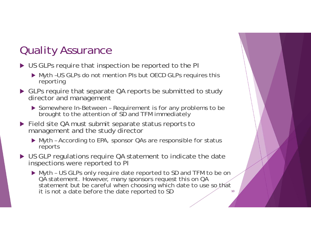## Quality Assurance

- ▶ US GLPs require that inspection be reported to the PI
	- ▶ Myth -US GLPs do not mention PIs but OECD GLPs requires this reporting
- ▶ GLPs require that separate QA reports be submitted to study director and management
	- ▶ Somewhere In-Between Requirement is for any problems to be brought to the attention of SD and TFM immediately
- ▶ Field site QA must submit separate status reports to management and the study director
	- Myth According to EPA, sponsor QAs are responsible for status reports
- ▶ US GLP regulations require QA statement to indicate the date inspections were reported to PI
	- Myth US GLPs only require date reported to SD and TFM to be on QA statement. However, many sponsors request this on QA statement but be careful when choosing which date to use so that it is not a date before the date reported to SD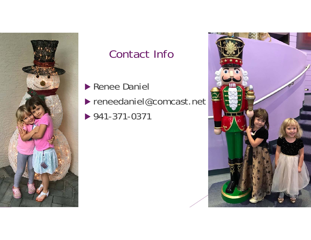

# Contact Info

**Renee Daniel** 

reneedaniel@comcast.net

941-371-0371